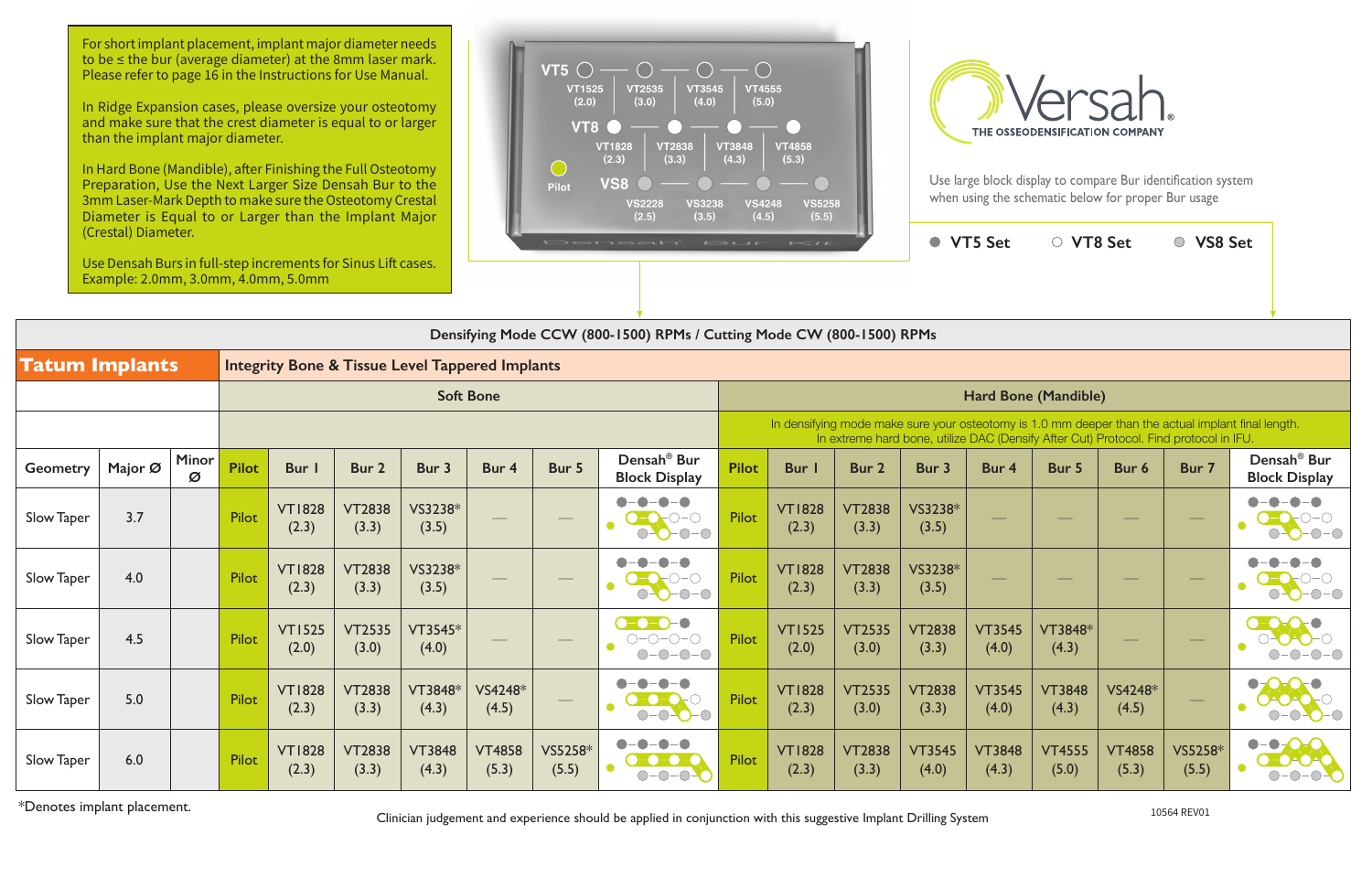|                       | Densifying Mode CCW (800-1500) RPMs / Cutting Mode CW (800-1500) RPMs |            |              |                        |                                                            |                        |                        |                                |                                                                          |                                                                                                                                                                                             |                        |                        |                        |                        |                                |                        |                          |                                                                |  |
|-----------------------|-----------------------------------------------------------------------|------------|--------------|------------------------|------------------------------------------------------------|------------------------|------------------------|--------------------------------|--------------------------------------------------------------------------|---------------------------------------------------------------------------------------------------------------------------------------------------------------------------------------------|------------------------|------------------------|------------------------|------------------------|--------------------------------|------------------------|--------------------------|----------------------------------------------------------------|--|
| <b>Tatum Implants</b> |                                                                       |            |              |                        | <b>Integrity Bone &amp; Tissue Level Tappered Implants</b> |                        |                        |                                |                                                                          |                                                                                                                                                                                             |                        |                        |                        |                        |                                |                        |                          |                                                                |  |
| <b>Soft Bone</b>      |                                                                       |            |              |                        |                                                            |                        |                        | Hard Bone (Mandible)           |                                                                          |                                                                                                                                                                                             |                        |                        |                        |                        |                                |                        |                          |                                                                |  |
|                       |                                                                       |            |              |                        |                                                            |                        |                        |                                |                                                                          | In densifying mode make sure your osteotomy is 1.0 mm deeper than the actual implant final length.<br>In extreme hard bone, utilize DAC (Densify After Cut) Protocol. Find protocol in IFU. |                        |                        |                        |                        |                                |                        |                          |                                                                |  |
| <b>Geometry</b>       | Major Ø                                                               | Minor<br>Ø | <b>Pilot</b> | Bur I                  | Bur 2                                                      | Bur 3                  | Bur 4                  | Bur 5                          | Densah <sup>®</sup> Bur<br><b>Block Display</b>                          | <b>Pilot</b>                                                                                                                                                                                | <b>Bur</b> I           | Bur 2                  | Bur 3                  | Bur 4                  | Bur 5                          | Bur 6                  | Bur 7                    | Densah <sup>®</sup> Bur<br><b>Block Display</b>                |  |
| Slow Taper            | 3.7                                                                   |            | Pilot        | <b>VT1828</b><br>(2.3) | <b>VT2838</b><br>(3.3)                                     | VS3238*<br>(3.5)       |                        | $\overbrace{\hspace{25mm}}^{}$ | $\bullet - \bullet$<br>$O-O-O-O$                                         | Pilot                                                                                                                                                                                       | <b>VT1828</b><br>(2.3) | <b>VT2838</b><br>(3.3) | VS3238*<br>(3.5)       |                        | $\overbrace{\hspace{25mm}}^{}$ | $\hspace{0.1cm}$       | $\hspace{0.1cm}$         | $-\bullet-\bullet$<br>$\bullet$<br>$O-O-O-O$                   |  |
| Slow Taper            | 4.0                                                                   |            | <b>Pilot</b> | <b>VT1828</b><br>(2.3) | <b>VT2838</b><br>(3.3)                                     | VS3238*<br>(3.5)       |                        |                                | $20-0-0$<br>$O-O-O-O$                                                    | Pilot                                                                                                                                                                                       | <b>VT1828</b><br>(2.3) | <b>VT2838</b><br>(3.3) | VS3238*<br>(3.5)       |                        |                                |                        |                          | $0 - 0 - 0$                                                    |  |
| Slow Taper            | 4.5                                                                   |            | Pilot        | <b>VT1525</b><br>(2.0) | <b>VT2535</b><br>(3.0)                                     | VT3545*<br>(4.0)       |                        | $\hspace{0.05cm}$              | $-0-0-0$<br>$O-O-O-O-$<br>$O-O-O-O$                                      | Pilot                                                                                                                                                                                       | <b>VT1525</b><br>(2.0) | <b>VT2535</b><br>(3.0) | <b>VT2838</b><br>(3.3) | <b>VT3545</b><br>(4.0) | VT3848*<br>(4.3)               | $\hspace{0.05cm}$      | $\overline{\phantom{m}}$ |                                                                |  |
| Slow Taper            | 5.0                                                                   |            | Pilot        | <b>VT1828</b><br>(2.3) | <b>VT2838</b><br>(3.3)                                     | VT3848*<br>(4.3)       | VS4248*<br>(4.5)       | $\overbrace{\hspace{25mm}}^{}$ | $\bullet$<br>$0 - 0 - 0$                                                 | Pilot                                                                                                                                                                                       | <b>VT1828</b><br>(2.3) | <b>VT2535</b><br>(3.0) | <b>VT2838</b><br>(3.3) | <b>VT3545</b><br>(4.0) | <b>VT3848</b><br>(4.3)         | VS4248*<br>(4.5)       |                          | $\bullet$<br>DACA<br>$\bigcirc$                                |  |
| Slow Taper            | 6.0                                                                   |            | Pilot        | <b>VT1828</b><br>(2.3) | <b>VT2838</b><br>(3.3)                                     | <b>VT3848</b><br>(4.3) | <b>VT4858</b><br>(5.3) | VS5258*<br>(5.5)               | $\bullet$<br>$\bullet$<br>$\bullet$<br>0-0-0-0<br>$\bullet$<br>$O-O-O-O$ | Pilot                                                                                                                                                                                       | <b>VT1828</b><br>(2.3) | <b>VT2838</b><br>(3.3) | <b>VT3545</b><br>(4.0) | <b>VT3848</b><br>(4.3) | <b>VT4555</b><br>(5.0)         | <b>VT4858</b><br>(5.3) | VS5258*<br>(5.5)         | $\bullet$ -O-C<br>$\bullet$<br>O-OAOA<br>$    -$<br>$\bigcirc$ |  |

For short implant placement, implant major diameter needs to be ≤ the bur (average diameter) at the 8mm laser mark. Please refer to page 16 in the Instructions for Use Manual.

\*Denotes implant placement. 10564 REV01 Clinician judgement and experience should be applied in conjunction with this suggestive Implant Drilling System

In Ridge Expansion cases, please oversize your osteotomy and make sure that the crest diameter is equal to or larger than the implant major diameter.

In Hard Bone (Mandible), after Finishing the Full Osteotomy Preparation, Use the Next Larger Size Densah Bur to the 3mm Laser-Mark Depth to make sure the Osteotomy Crestal Diameter is Equal to or Larger than the Implant Major (Crestal) Diameter.

Use Densah Burs in full-step increments for Sinus Lift cases. Example: 2.0mm, 3.0mm, 4.0mm, 5.0mm





Use large block display to compare Bur identification system when using the schematic below for proper Bur usage

**VT5 Set**  $\qquad \qquad \circ$  VT8 Set  $\qquad \qquad \circ$  VS8 Set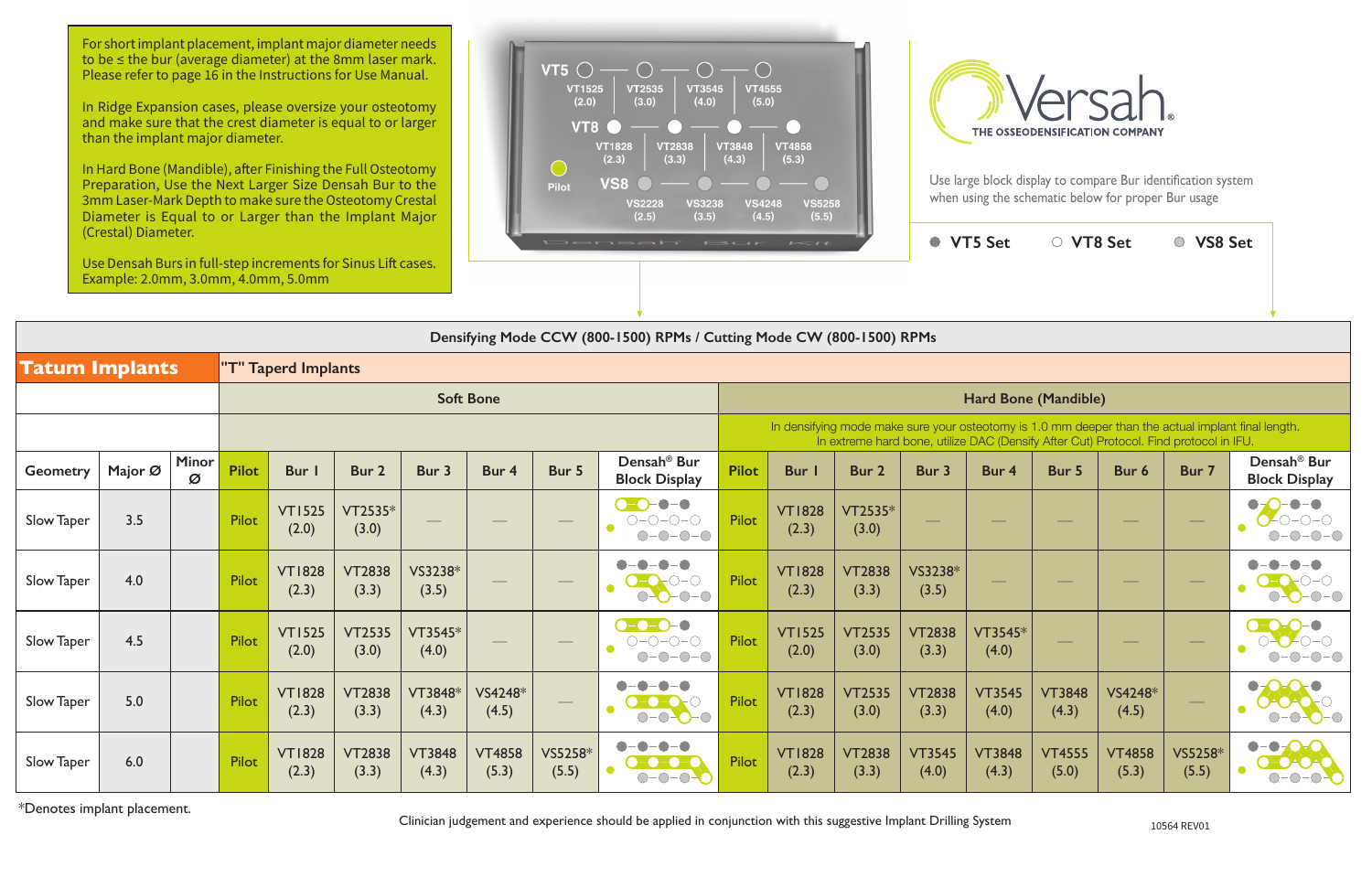**VT5 Set VT8 Set VS8 Set**

|                       | Densifying Mode CCW (800-1500) RPMs / Cutting Mode CW (800-1500) RPMs |            |              |                        |                        |                        |                        |                                                                                                                                                                                                                                                                                                                                                                                                                                                                            |                                                                                                                                     |                                                                                                                                                                                             |                        |                        |                          |                        |                        |                                 |                                                                                                                                                                                                                                                                                                                                                                                                                                                                            |                                                                           |  |  |
|-----------------------|-----------------------------------------------------------------------|------------|--------------|------------------------|------------------------|------------------------|------------------------|----------------------------------------------------------------------------------------------------------------------------------------------------------------------------------------------------------------------------------------------------------------------------------------------------------------------------------------------------------------------------------------------------------------------------------------------------------------------------|-------------------------------------------------------------------------------------------------------------------------------------|---------------------------------------------------------------------------------------------------------------------------------------------------------------------------------------------|------------------------|------------------------|--------------------------|------------------------|------------------------|---------------------------------|----------------------------------------------------------------------------------------------------------------------------------------------------------------------------------------------------------------------------------------------------------------------------------------------------------------------------------------------------------------------------------------------------------------------------------------------------------------------------|---------------------------------------------------------------------------|--|--|
| <b>Tatum Implants</b> | "T" Taperd Implants                                                   |            |              |                        |                        |                        |                        |                                                                                                                                                                                                                                                                                                                                                                                                                                                                            |                                                                                                                                     |                                                                                                                                                                                             |                        |                        |                          |                        |                        |                                 |                                                                                                                                                                                                                                                                                                                                                                                                                                                                            |                                                                           |  |  |
|                       |                                                                       |            |              |                        |                        |                        | <b>Soft Bone</b>       |                                                                                                                                                                                                                                                                                                                                                                                                                                                                            |                                                                                                                                     | Hard Bone (Mandible)                                                                                                                                                                        |                        |                        |                          |                        |                        |                                 |                                                                                                                                                                                                                                                                                                                                                                                                                                                                            |                                                                           |  |  |
|                       |                                                                       |            |              |                        |                        |                        |                        |                                                                                                                                                                                                                                                                                                                                                                                                                                                                            |                                                                                                                                     | In densifying mode make sure your osteotomy is 1.0 mm deeper than the actual implant final length.<br>In extreme hard bone, utilize DAC (Densify After Cut) Protocol. Find protocol in IFU. |                        |                        |                          |                        |                        |                                 |                                                                                                                                                                                                                                                                                                                                                                                                                                                                            |                                                                           |  |  |
| <b>Geometry</b>       | Major Ø                                                               | Minor<br>Ø | <b>Pilot</b> | Bur I                  | Bur 2                  | Bur 3                  | Bur 4                  | Bur 5                                                                                                                                                                                                                                                                                                                                                                                                                                                                      | Densah <sup>®</sup> Bur<br><b>Block Display</b>                                                                                     | <b>Pilot</b>                                                                                                                                                                                | <b>Bur</b> I           | Bur 2                  | Bur 3                    | Bur 4                  | Bur 5                  | Bur 6                           | Bur 7                                                                                                                                                                                                                                                                                                                                                                                                                                                                      | Densah <sup>®</sup> Bur<br><b>Block Display</b>                           |  |  |
| Slow Taper            | 3.5                                                                   |            | Pilot        | <b>VT1525</b><br>(2.0) | VT2535*<br>(3.0)       |                        |                        | $\overbrace{\hspace{25mm}}^{}$                                                                                                                                                                                                                                                                                                                                                                                                                                             | $O-O-O-$<br>$O-O-O-O$<br>$O-O-O-O$                                                                                                  | Pilot                                                                                                                                                                                       | <b>VT1828</b><br>(2.3) | $VT2535*$<br>(3.0)     | $\overline{\phantom{a}}$ |                        |                        | $\overbrace{\qquad \qquad }^{}$ | $\overline{\phantom{a}}$                                                                                                                                                                                                                                                                                                                                                                                                                                                   | $\bullet - \bullet$<br>$\bullet$<br>$ \bigcirc$ $ \bigcirc$<br>$\bigcirc$ |  |  |
| Slow Taper            | 4.0                                                                   |            | Pilot        | <b>VT1828</b><br>(2.3) | <b>VT2838</b><br>(3.3) | VS3238*<br>(3.5)       |                        | $\hspace{0.05cm}$                                                                                                                                                                                                                                                                                                                                                                                                                                                          | $O-O-O-O$                                                                                                                           | Pilot                                                                                                                                                                                       | <b>VT1828</b><br>(2.3) | <b>VT2838</b><br>(3.3) | VS3238*<br>(3.5)         |                        | $\frac{1}{2}$          | $\frac{1}{2}$                   | $\hspace{0.05cm}$                                                                                                                                                                                                                                                                                                                                                                                                                                                          | $\bigcirc$ $\bigcirc$                                                     |  |  |
| Slow Taper            | 4.5                                                                   |            | Pilot        | <b>VT1525</b><br>(2.0) | <b>VT2535</b><br>(3.0) | VT3545*<br>(4.0)       |                        |                                                                                                                                                                                                                                                                                                                                                                                                                                                                            | $\Omega$ - $\Omega$ - $\Omega$ - $\Omega$<br>$\bigcirc\negmedspace-\bigcirc\negmedspace-\bigcirc\negmedspace-\bigcirc$<br>$O-O-O-O$ | Pilot                                                                                                                                                                                       | <b>VT1525</b><br>(2.0) | <b>VT2535</b><br>(3.0) | <b>VT2838</b><br>(3.3)   | VT3545*<br>(4.0)       |                        |                                 | $\frac{1}{2} \left( \frac{1}{2} \right) \left( \frac{1}{2} \right) \left( \frac{1}{2} \right) \left( \frac{1}{2} \right) \left( \frac{1}{2} \right) \left( \frac{1}{2} \right) \left( \frac{1}{2} \right) \left( \frac{1}{2} \right) \left( \frac{1}{2} \right) \left( \frac{1}{2} \right) \left( \frac{1}{2} \right) \left( \frac{1}{2} \right) \left( \frac{1}{2} \right) \left( \frac{1}{2} \right) \left( \frac{1}{2} \right) \left( \frac{1}{2} \right) \left( \frac$ | $-0-0-0$                                                                  |  |  |
| Slow Taper            | 5.0                                                                   |            | Pilot        | <b>VT1828</b><br>(2.3) | <b>VT2838</b><br>(3.3) | VT3848*<br>(4.3)       | VS4248*<br>(4.5)       | $\frac{1}{2} \left( \frac{1}{2} \right) \left( \frac{1}{2} \right) \left( \frac{1}{2} \right) \left( \frac{1}{2} \right) \left( \frac{1}{2} \right) \left( \frac{1}{2} \right) \left( \frac{1}{2} \right) \left( \frac{1}{2} \right) \left( \frac{1}{2} \right) \left( \frac{1}{2} \right) \left( \frac{1}{2} \right) \left( \frac{1}{2} \right) \left( \frac{1}{2} \right) \left( \frac{1}{2} \right) \left( \frac{1}{2} \right) \left( \frac{1}{2} \right) \left( \frac$ | $\bullet$<br>D-0-07<br>$0 - 0 - 0$                                                                                                  | Pilot                                                                                                                                                                                       | <b>VT1828</b><br>(2.3) | <b>VT2535</b><br>(3.0) | <b>VT2838</b><br>(3.3)   | <b>VT3545</b><br>(4.0) | <b>VT3848</b><br>(4.3) | VS4248*<br>(4.5)                |                                                                                                                                                                                                                                                                                                                                                                                                                                                                            | $\bullet$<br>DAOAOTO<br>$\bigcirc$                                        |  |  |
| Slow Taper            | 6.0                                                                   |            | Pilot        | <b>VT1828</b><br>(2.3) | <b>VT2838</b><br>(3.3) | <b>VT3848</b><br>(4.3) | <b>VT4858</b><br>(5.3) | VS5258*<br>(5.5)                                                                                                                                                                                                                                                                                                                                                                                                                                                           | $\blacksquare$<br>$\bullet - \bullet$<br>$\bullet$<br>$O-O-O-O$                                                                     | Pilot                                                                                                                                                                                       | <b>VT1828</b><br>(2.3) | <b>VT2838</b><br>(3.3) | <b>VT3545</b><br>(4.0)   | <b>VT3848</b><br>(4.3) | <b>VT4555</b><br>(5.0) | <b>VT4858</b><br>(5.3)          | VS5258*<br>(5.5)                                                                                                                                                                                                                                                                                                                                                                                                                                                           | $\bullet$ -O-C<br>$\bullet$<br>D-DADA<br>$-0-0$<br>$\bigcirc$             |  |  |

\*Denotes implant placement. Clinician judgement and experience should be applied in conjunction with this suggestive Implant Drilling System 10564 REV01

For short implant placement, implant major diameter needs to be ≤ the bur (average diameter) at the 8mm laser mark. Please refer to page 16 in the Instructions for Use Manual.

In Ridge Expansion cases, please oversize your osteotomy and make sure that the crest diameter is equal to or larger than the implant major diameter.

In Hard Bone (Mandible), after Finishing the Full Osteotomy Preparation, Use the Next Larger Size Densah Bur to the 3mm Laser-Mark Depth to make sure the Osteotomy Crestal Diameter is Equal to or Larger than the Implant Major (Crestal) Diameter.

Use Densah Burs in full-step increments for Sinus Lift cases. Example: 2.0mm, 3.0mm, 4.0mm, 5.0mm





Use large block display to compare Bur identification system when using the schematic below for proper Bur usage